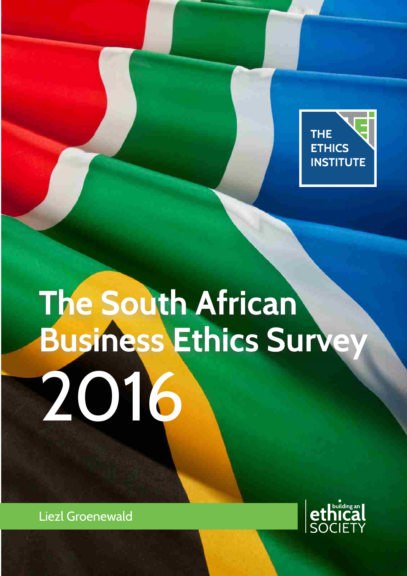

# 2016 **The South African Business Ethics Survey**

Liezl Groenewald

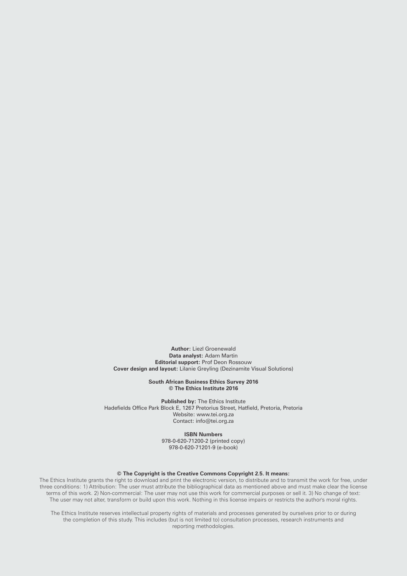**Author:** Liezl Groenewald **Data analyst:** Adam Martin **Editorial support:** Prof Deon Rossouw **Cover design and layout:** Lilanie Greyling (Dezinamite Visual Solutions)

> **South African Business Ethics Survey 2016 © The Ethics Institute 2016**

**Published by:** The Ethics Institute Hadefields Office Park Block E, 1267 Pretorius Street, Hatfield, Pretoria, Pretoria Website: www.tei.org.za Contact: info@tei.org.za

**ISBN Numbers**

978-0-620-71200-2 (printed copy) 978-0-620-71201-9 (e-book)

#### **© The Copyright is the Creative Commons Copyright 2.5. It means:**

The Ethics Institute grants the right to download and print the electronic version, to distribute and to transmit the work for free, under three conditions: 1) Attribution: The user must attribute the bibliographical data as mentioned above and must make clear the license terms of this work. 2) Non-commercial: The user may not use this work for commercial purposes or sell it. 3) No change of text: The user may not alter, transform or build upon this work. Nothing in this license impairs or restricts the author's moral rights.

The Ethics Institute reserves intellectual property rights of materials and processes generated by ourselves prior to or during the completion of this study. This includes (but is not limited to) consultation processes, research instruments and reporting methodologies.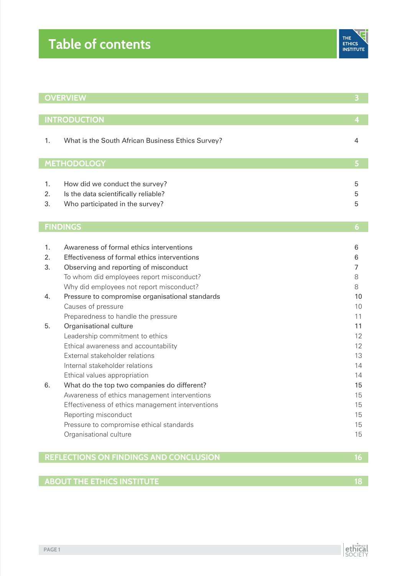|                                              | <b>OVERVIEW</b>                                   |    |  |
|----------------------------------------------|---------------------------------------------------|----|--|
|                                              |                                                   |    |  |
|                                              | <b>INTRODUCTION</b>                               | 4  |  |
| 1.                                           | What is the South African Business Ethics Survey? | 4  |  |
|                                              |                                                   |    |  |
|                                              | <b>METHODOLOGY</b>                                | 5  |  |
|                                              |                                                   |    |  |
| 1.                                           | How did we conduct the survey?                    | 5  |  |
| 2.                                           | Is the data scientifically reliable?              | 5  |  |
| 3.                                           | Who participated in the survey?                   | 5  |  |
|                                              |                                                   |    |  |
|                                              | <b>FINDINGS</b>                                   | 6  |  |
|                                              |                                                   |    |  |
| 1.                                           | Awareness of formal ethics interventions          | 6  |  |
| 2.                                           | Effectiveness of formal ethics interventions      | 6  |  |
| 3.                                           | Observing and reporting of misconduct             | 7  |  |
|                                              | To whom did employees report misconduct?          | 8  |  |
|                                              | Why did employees not report misconduct?          | 8  |  |
| 4.                                           | Pressure to compromise organisational standards   | 10 |  |
|                                              | Causes of pressure                                | 10 |  |
|                                              | Preparedness to handle the pressure               | 11 |  |
| 5.                                           | Organisational culture                            | 11 |  |
|                                              | Leadership commitment to ethics                   | 12 |  |
|                                              | Ethical awareness and accountability              | 12 |  |
|                                              | External stakeholder relations                    | 13 |  |
|                                              | Internal stakeholder relations                    | 14 |  |
|                                              | Ethical values appropriation                      | 14 |  |
| 6.                                           | What do the top two companies do different?       | 15 |  |
|                                              | Awareness of ethics management interventions      | 15 |  |
|                                              | Effectiveness of ethics management interventions  | 15 |  |
|                                              | Reporting misconduct                              | 15 |  |
|                                              | Pressure to compromise ethical standards          | 15 |  |
|                                              | Organisational culture                            | 15 |  |
|                                              |                                                   |    |  |
| REFLECTIONS ON FINDINGS AND CONCLUSION<br>16 |                                                   |    |  |
|                                              |                                                   |    |  |
| <b>ABOUT THE ETHICS INSTITUTE</b>            |                                                   |    |  |

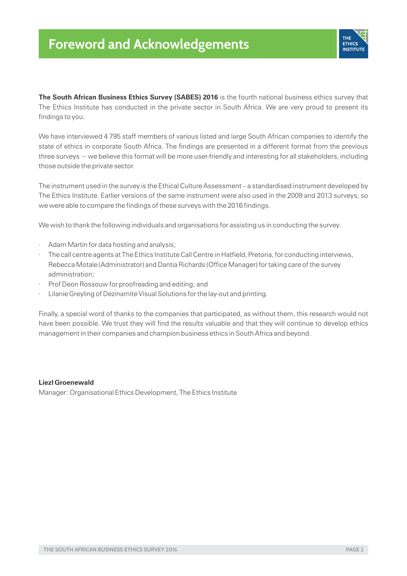

**The South African Business Ethics Survey (SABES) 2016** is the fourth national business ethics survey that The Ethics Institute has conducted in the private sector in South Africa. We are very proud to present its findings to you.

We have interviewed 4 795 staff members of various listed and large South African companies to identify the state of ethics in corporate South Africa. The findings are presented in a different format from the previous three surveys − we believe this format will be more user-friendly and interesting for all stakeholders, including those outside the private sector.

The instrument used in the survey is the Ethical Culture Assessment – a standardised instrument developed by The Ethics Institute. Earlier versions of the same instrument were also used in the 2009 and 2013 surveys, so we were able to compare the findings of these surveys with the 2016 findings.

We wish to thank the following individuals and organisations for assisting us in conducting the survey:

- Adam Martin for data hosting and analysis;
- The call centre agents at The Ethics Institute Call Centre in Hatfield, Pretoria, for conducting interviews, Rebecca Motale (Administrator) and Dantia Richards (Office Manager) for taking care of the survey administration;
- Prof Deon Rossouw for proofreading and editing; and
- Lilanie Greyling of Dezinamite Visual Solutions for the lay-out and printing.

Finally, a special word of thanks to the companies that participated, as without them, this research would not have been possible. We trust they will find the results valuable and that they will continue to develop ethics management in their companies and champion business ethics in South Africa and beyond.

#### **Liezl Groenewald**

Manager: Organisational Ethics Development, The Ethics Institute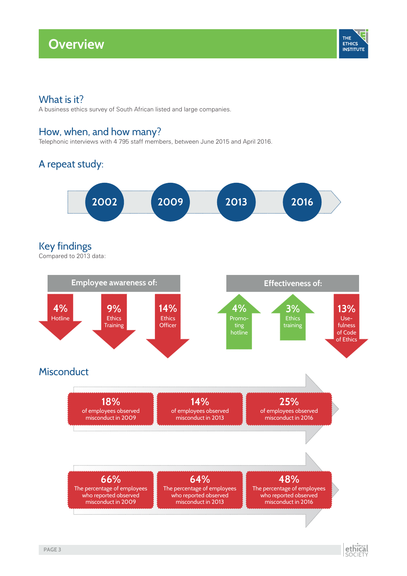# **Overview**



## What is it?

A business ethics survey of South African listed and large companies.

## How, when, and how many?

Telephonic interviews with 4 795 staff members, between June 2015 and April 2016.

## A repeat study:



## Key findings

Compared to 2013 data:



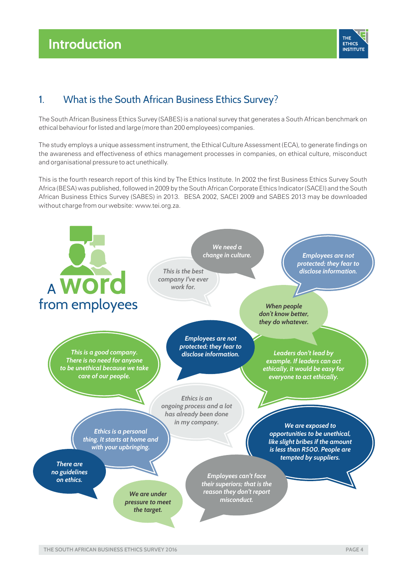## **Introduction Methods Methods Methods Methods Methods Methods Methods Methods Methods Methods Methods**



## 1. What is the South African Business Ethics Survey?

The South African Business Ethics Survey (SABES) is a national survey that generates a South African benchmark on ethical behaviour for listed and large (more than 200 employees) companies.

The study employs a unique assessment instrument, the Ethical Culture Assessment (ECA), to generate findings on the awareness and effectiveness of ethics management processes in companies, on ethical culture, misconduct and organisational pressure to act unethically.

This is the fourth research report of this kind by The Ethics Institute. In 2002 the first Business Ethics Survey South Africa (BESA) was published, followed in 2009 by the South African Corporate Ethics Indicator (SACEI) and the South African Business Ethics Survey (SABES) in 2013. BESA 2002, SACEI 2009 and SABES 2013 may be downloaded without charge from our website: www.tei.org.za.

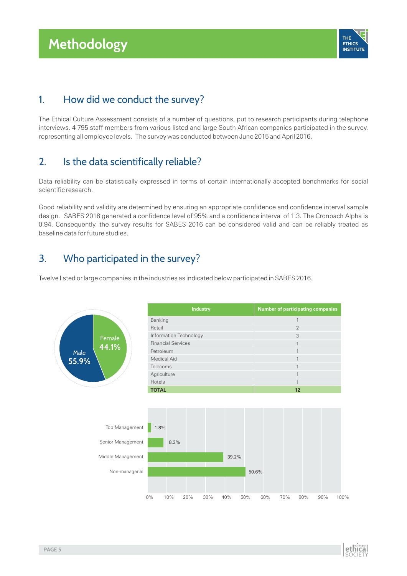# **Methodology**



## 1. How did we conduct the survey?

The Ethical Culture Assessment consists of a number of questions, put to research participants during telephone interviews. 4 795 staff members from various listed and large South African companies participated in the survey, representing all employee levels. The survey was conducted between June 2015 and April 2016.

## 2. Is the data scientifically reliable?

Data reliability can be statistically expressed in terms of certain internationally accepted benchmarks for social scientific research.

Good reliability and validity are determined by ensuring an appropriate confidence and confidence interval sample design. SABES 2016 generated a confidence level of 95% and a confidence interval of 1.3. The Cronbach Alpha is 0.94. Consequently, the survey results for SABES 2016 can be considered valid and can be reliably treated as baseline data for future studies.

## 3. Who participated in the survey?

Twelve listed or large companies in the industries as indicated below participated in SABES 2016.



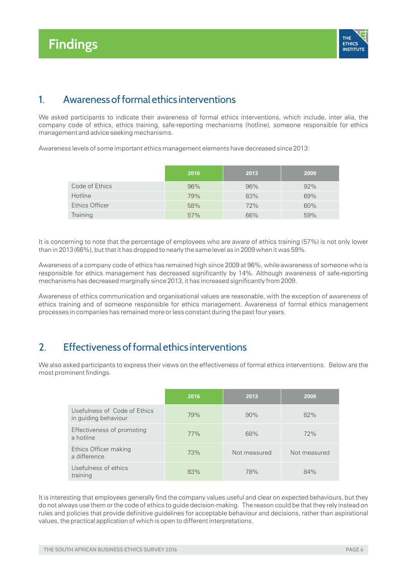

## 1. Awareness of formal ethics interventions

We asked participants to indicate their awareness of formal ethics interventions, which include, inter alia, the company code of ethics, ethics training, safe-reporting mechanisms (hotline), someone responsible for ethics management and advice seeking mechanisms.

Awareness levels of some important ethics management elements have decreased since 2013:

|                | 2016 | 2013 | 2009 |
|----------------|------|------|------|
| Code of Ethics | 96%  | 96%  | 92%  |
| Hotline        | 79%  | 83%  | 69%  |
| Ethics Officer | 58%  | 72%  | 60%  |
| Training       | 57%  | 66%  | 59%  |

It is concerning to note that the percentage of employees who are aware of ethics training (57%) is not only lower than in 2013 (66%), but that it has dropped to nearly the same level as in 2009 when it was 59%.

Awareness of a company code of ethics has remained high since 2009 at 96%, while awareness of someone who is responsible for ethics management has decreased significantly by 14%. Although awareness of safe-reporting mechanisms has decreased marginally since 2013, it has increased significantly from 2009.

Awareness of ethics communication and organisational values are reasonable, with the exception of awareness of ethics training and of someone responsible for ethics management. Awareness of formal ethics management processes in companies has remained more or less constant during the past four years.

## 2. Effectiveness of formal ethics interventions

We also asked participants to express their views on the effectiveness of formal ethics interventions. Below are the most prominent findings.

|                                                      | 2016 | 2013         | 2009         |
|------------------------------------------------------|------|--------------|--------------|
| Usefulness of Code of Ethics<br>in guiding behaviour | 79%  | 90%          | 82%          |
| Effectiveness of promoting<br>a hotline              | 77%  | 68%          | 72%          |
| Ethics Officer making<br>a difference                | 73%  | Not measured | Not measured |
| Usefulness of ethics<br>training                     | 83%  | 78%          | 84%          |

It is interesting that employees generally find the company values useful and clear on expected behaviours, but they do not always use them or the code of ethics to guide decision-making. The reason could be that they rely instead on rules and policies that provide definitive guidelines for acceptable behaviour and decisions, rather than aspirational values, the practical application of which is open to different interpretations.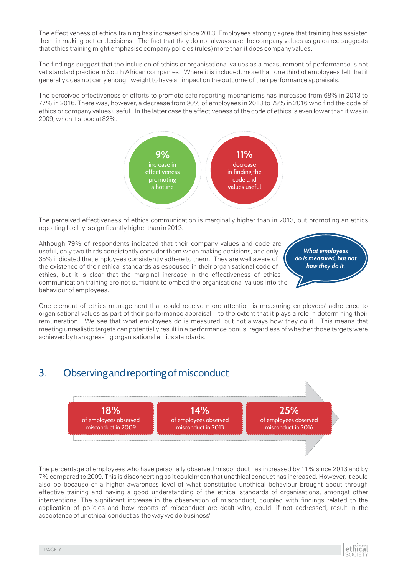The effectiveness of ethics training has increased since 2013. Employees strongly agree that training has assisted them in making better decisions. The fact that they do not always use the company values as guidance suggests that ethics training might emphasise company policies (rules) more than it does company values.

The findings suggest that the inclusion of ethics or organisational values as a measurement of performance is not yet standard practice in South African companies. Where it is included, more than one third of employees felt that it generally does not carry enough weight to have an impact on the outcome of their performance appraisals.

The perceived effectiveness of efforts to promote safe reporting mechanisms has increased from 68% in 2013 to 77% in 2016. There was, however, a decrease from 90% of employees in 2013 to 79% in 2016 who find the code of ethics or company values useful. In the latter case the effectiveness of the code of ethics is even lower than it was in 2009, when it stood at 82%.



The perceived effectiveness of ethics communication is marginally higher than in 2013, but promoting an ethics reporting facility is significantly higher than in 2013.

Although 79% of respondents indicated that their company values and code are useful, only two thirds consistently consider them when making decisions, and only 35% indicated that employees consistently adhere to them. They are well aware of the existence of their ethical standards as espoused in their organisational code of ethics, but it is clear that the marginal increase in the effectiveness of ethics communication training are not sufficient to embed the organisational values into the behaviour of employees.

*What employees do is measured, but not how they do it.*

One element of ethics management that could receive more attention is measuring employees' adherence to organisational values as part of their performance appraisal – to the extent that it plays a role in determining their remuneration. We see that what employees do is measured, but not always how they do it. This means that meeting unrealistic targets can potentially result in a performance bonus, regardless of whether those targets were achieved by transgressing organisational ethics standards.

## 3. Observing and reporting of misconduct



The percentage of employees who have personally observed misconduct has increased by 11% since 2013 and by 7% compared to 2009. This is disconcerting as it could mean that unethical conduct has increased. However, it could also be because of a higher awareness level of what constitutes unethical behaviour brought about through effective training and having a good understanding of the ethical standards of organisations, amongst other interventions. The significant increase in the observation of misconduct, coupled with findings related to the application of policies and how reports of misconduct are dealt with, could, if not addressed, result in the acceptance of unethical conduct as 'the way we do business'.

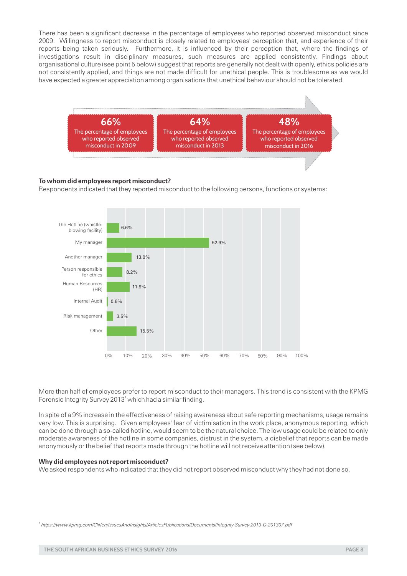There has been a significant decrease in the percentage of employees who reported observed misconduct since 2009. Willingness to report misconduct is closely related to employees' perception that, and experience of their reports being taken seriously. Furthermore, it is influenced by their perception that, where the findings of investigations result in disciplinary measures, such measures are applied consistently. Findings about organisational culture (see point 5 below) suggest that reports are generally not dealt with openly, ethics policies are not consistently applied, and things are not made difficult for unethical people. This is troublesome as we would have expected a greater appreciation among organisations that unethical behaviour should not be tolerated.



#### **To whom did employees report misconduct?**

Respondents indicated that they reported misconduct to the following persons, functions or systems:



More than half of employees prefer to report misconduct to their managers. This trend is consistent with the KPMG Forensic Integrity Survey 2013<sup>1</sup> which had a similar finding.

In spite of a 9% increase in the effectiveness of raising awareness about safe reporting mechanisms, usage remains very low. This is surprising. Given employees' fear of victimisation in the work place, anonymous reporting, which can be done through a so-called hotline, would seem to be the natural choice. The low usage could be related to only moderate awareness of the hotline in some companies, distrust in the system, a disbelief that reports can be made anonymously or the belief that reports made through the hotline will not receive attention (see below).

#### **Why did employees not report misconduct?**

We asked respondents who indicated that they did not report observed misconduct why they had not done so.

*<sup>1</sup> https://www.kpmg.com/CN/en/IssuesAndInsights/ArticlesPublications/Documents/Integrity-Survey-2013-O-201307.pdf*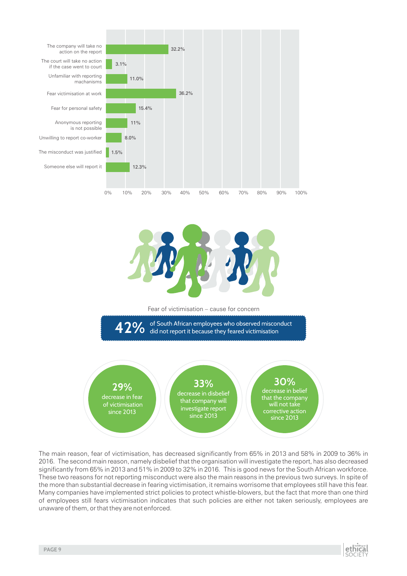

The main reason, fear of victimisation, has decreased significantly from 65% in 2013 and 58% in 2009 to 36% in 2016. The second main reason, namely disbelief that the organisation will investigate the report, has also decreased significantly from 65% in 2013 and 51% in 2009 to 32% in 2016. This is good news for the South African workforce. These two reasons for not reporting misconduct were also the main reasons in the previous two surveys. In spite of the more than substantial decrease in fearing victimisation, it remains worrisome that employees still have this fear. Many companies have implemented strict policies to protect whistle-blowers, but the fact that more than one third of employees still fears victimisation indicates that such policies are either not taken seriously, employees are unaware of them, or that they are not enforced.

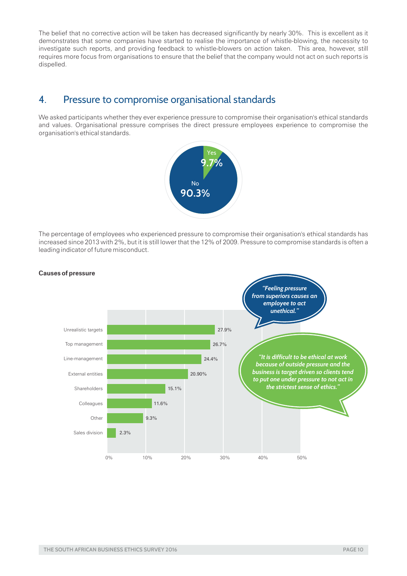The belief that no corrective action will be taken has decreased significantly by nearly 30%. This is excellent as it demonstrates that some companies have started to realise the importance of whistle-blowing, the necessity to investigate such reports, and providing feedback to whistle-blowers on action taken. This area, however, still requires more focus from organisations to ensure that the belief that the company would not act on such reports is dispelled.

## 4. Pressure to compromise organisational standards

We asked participants whether they ever experience pressure to compromise their organisation's ethical standards and values. Organisational pressure comprises the direct pressure employees experience to compromise the organisation's ethical standards.



The percentage of employees who experienced pressure to compromise their organisation's ethical standards has increased since 2013 with 2%, but it is still lower that the 12% of 2009. Pressure to compromise standards is often a leading indicator of future misconduct.



#### **Causes of pressure**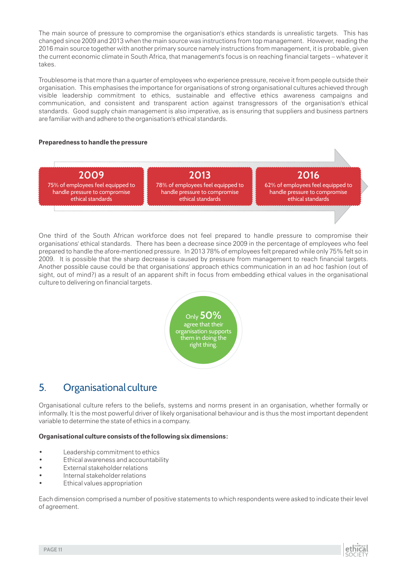The main source of pressure to compromise the organisation's ethics standards is unrealistic targets. This has changed since 2009 and 2013 when the main source was instructions from top management. However, reading the 2016 main source together with another primary source namely instructions from management, it is probable, given the current economic climate in South Africa, that management's focus is on reaching financial targets – whatever it takes.

Troublesome is that more than a quarter of employees who experience pressure, receive it from people outside their organisation. This emphasises the importance for organisations of strong organisational cultures achieved through visible leadership commitment to ethics, sustainable and effective ethics awareness campaigns and communication, and consistent and transparent action against transgressors of the organisation's ethical standards. Good supply chain management is also imperative, as is ensuring that suppliers and business partners are familiar with and adhere to the organisation's ethical standards.

#### **Preparedness to handle the pressure**



One third of the South African workforce does not feel prepared to handle pressure to compromise their organisations' ethical standards. There has been a decrease since 2009 in the percentage of employees who feel prepared to handle the afore-mentioned pressure. In 2013 78% of employees felt prepared while only 75% felt so in 2009. It is possible that the sharp decrease is caused by pressure from management to reach financial targets. Another possible cause could be that organisations' approach ethics communication in an ad hoc fashion (out of sight, out of mind?) as a result of an apparent shift in focus from embedding ethical values in the organisational culture to delivering on financial targets.



## 5. Organisational culture

Organisational culture refers to the beliefs, systems and norms present in an organisation, whether formally or informally. It is the most powerful driver of likely organisational behaviour and is thus the most important dependent variable to determine the state of ethics in a company.

#### **Organisational culture consists of the following six dimensions:**

- Leadership commitment to ethics
- Ethical awareness and accountability
- **External stakeholder relations**
- Internal stakeholder relations
- Ethical values appropriation

Each dimension comprised a number of positive statements to which respondents were asked to indicate their level of agreement.

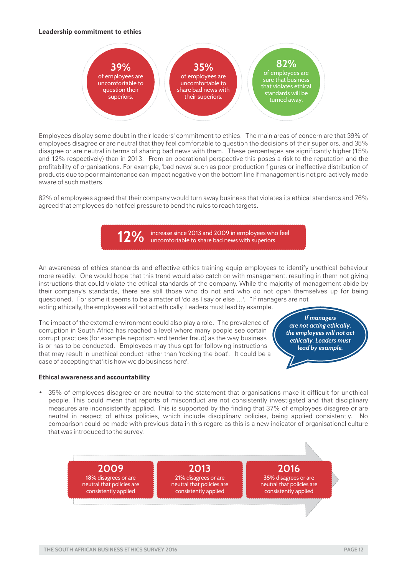#### **Leadership commitment to ethics**



Employees display some doubt in their leaders' commitment to ethics. The main areas of concern are that 39% of employees disagree or are neutral that they feel comfortable to question the decisions of their superiors, and 35% disagree or are neutral in terms of sharing bad news with them. These percentages are significantly higher (15% and 12% respectively) than in 2013. From an operational perspective this poses a risk to the reputation and the profitability of organisations. For example, 'bad news' such as poor production figures or ineffective distribution of products due to poor maintenance can impact negatively on the bottom line if management is not pro-actively made aware of such matters.

82% of employees agreed that their company would turn away business that violates its ethical standards and 76% agreed that employees do not feel pressure to bend the rules to reach targets.



An awareness of ethics standards and effective ethics training equip employees to identify unethical behaviour more readily. One would hope that this trend would also catch on with management, resulting in them not giving instructions that could violate the ethical standards of the company. While the majority of management abide by their company's standards, there are still those who do not and who do not open themselves up for being questioned. For some it seems to be a matter of 'do as I say or else …'. "If managers are not acting ethically, the employees will not act ethically. Leaders must lead by example.

The impact of the external environment could also play a role. The prevalence of corruption in South Africa has reached a level where many people see certain corrupt practices (for example nepotism and tender fraud) as the way business is or has to be conducted. Employees may thus opt for following instructions that may result in unethical conduct rather than 'rocking the boat'. It could be a case of accepting that 'it is how we do business here'.

*If managers are not acting ethically, the employees will not act ethically. Leaders must lead by example.*

#### **Ethical awareness and accountability**

• 35% of employees disagree or are neutral to the statement that organisations make it difficult for unethical people. This could mean that reports of misconduct are not consistently investigated and that disciplinary measures are inconsistently applied. This is supported by the finding that 37% of employees disagree or are neutral in respect of ethics policies, which include disciplinary policies, being applied consistently. No comparison could be made with previous data in this regard as this is a new indicator of organisational culture that was introduced to the survey.

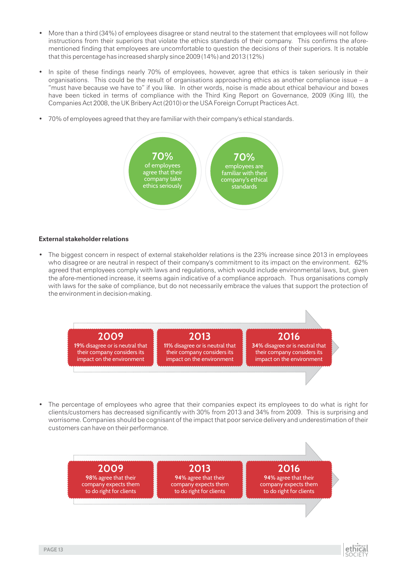- More than a third (34%) of employees disagree or stand neutral to the statement that employees will not follow instructions from their superiors that violate the ethics standards of their company. This confirms the aforementioned finding that employees are uncomfortable to question the decisions of their superiors. It is notable that this percentage has increased sharply since 2009 (14%) and 2013 (12%)
- In spite of these findings nearly 70% of employees, however, agree that ethics is taken seriously in their organisations. This could be the result of organisations approaching ethics as another compliance issue – a "must have because we have to" if you like. In other words, noise is made about ethical behaviour and boxes have been ticked in terms of compliance with the Third King Report on Governance, 2009 (King III), the Companies Act 2008, the UK Bribery Act (2010) or the USA Foreign Corrupt Practices Act.
- 70% of employees agreed that they are familiar with their company's ethical standards.



#### **External stakeholder relations**

• The biggest concern in respect of external stakeholder relations is the 23% increase since 2013 in employees who disagree or are neutral in respect of their company's commitment to its impact on the environment. 62% agreed that employees comply with laws and regulations, which would include environmental laws, but, given the afore-mentioned increase, it seems again indicative of a compliance approach. Thus organisations comply with laws for the sake of compliance, but do not necessarily embrace the values that support the protection of the environment in decision-making.



• The percentage of employees who agree that their companies expect its employees to do what is right for clients/customers has decreased significantly with 30% from 2013 and 34% from 2009. This is surprising and worrisome. Companies should be cognisant of the impact that poor service delivery and underestimation of their customers can have on their performance.



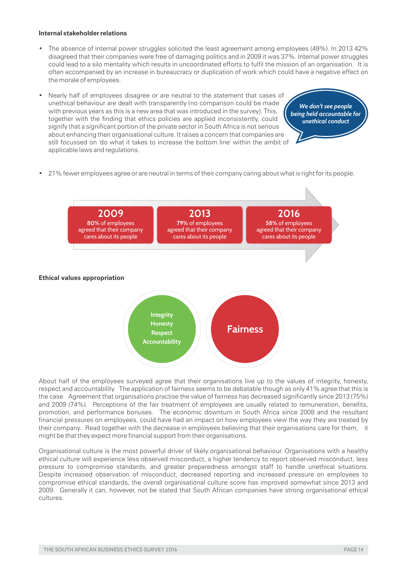#### **Internal stakeholder relations**

- The absence of internal power struggles solicited the least agreement among employees (49%). In 2013 42% disagreed that their companies were free of damaging politics and in 2009 it was 37%. Internal power struggles could lead to a silo mentality which results in uncoordinated efforts to fulfil the mission of an organisation. It is often accompanied by an increase in bureaucracy or duplication of work which could have a negative effect on the morale of employees.
- Nearly half of employees disagree or are neutral to the statement that cases of unethical behaviour are dealt with transparently (no comparison could be made with previous years as this is a new area that was introduced in the survey). This, together with the finding that ethics policies are applied inconsistently, could signify that a significant portion of the private sector in South Africa is not serious about enhancing their organisational culture. It raises a concern that companies are still focussed on 'do what it takes to increase the bottom line' within the ambit of applicable laws and regulations.

*being held accountable for unethical conduct We don't see people* 

• 21% fewer employees agree or are neutral in terms of their company caring about what is right for its people.



About half of the employees surveyed agree that their organisations live up to the values of integrity, honesty, respect and accountability. The application of fairness seems to be debatable though as only 41% agree that this is the case. Agreement that organisations practise the value of fairness has decreased significantly since 2013 (75%) and 2009 (74%). Perceptions of the fair treatment of employees are usually related to remuneration, benefits, promotion, and performance bonuses. The economic downturn in South Africa since 2008 and the resultant financial pressures on employees, could have had an impact on how employees view the way they are treated by their company. Read together with the decrease in employees believing that their organisations care for them, it might be that they expect more financial support from their organisations.

Organisational culture is the most powerful driver of likely organisational behaviour. Organisations with a healthy ethical culture will experience less observed misconduct, a higher tendency to report observed misconduct, less pressure to compromise standards, and greater preparedness amongst staff to handle unethical situations. Despite increased observation of misconduct, decreased reporting and increased pressure on employees to compromise ethical standards, the overall organisational culture score has improved somewhat since 2013 and 2009. Generally it can, however, not be stated that South African companies have strong organisational ethical cultures.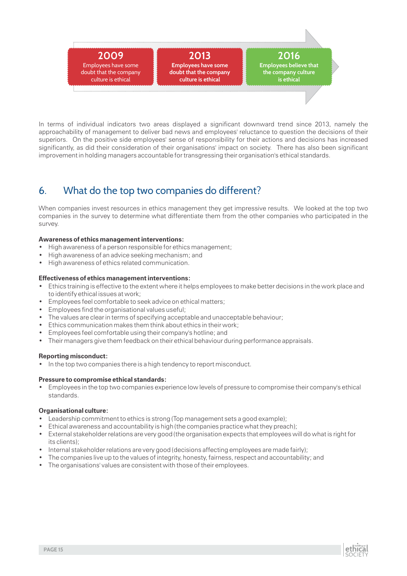

In terms of individual indicators two areas displayed a significant downward trend since 2013, namely the approachability of management to deliver bad news and employees' reluctance to question the decisions of their superiors. On the positive side employees' sense of responsibility for their actions and decisions has increased significantly, as did their consideration of their organisations' impact on society. There has also been significant improvement in holding managers accountable for transgressing their organisation's ethical standards.

## 6. What do the top two companies do different?

When companies invest resources in ethics management they get impressive results. We looked at the top two companies in the survey to determine what differentiate them from the other companies who participated in the survey.

#### **Awareness of ethics management interventions:**

- High awareness of a person responsible for ethics management;
- High awareness of an advice seeking mechanism; and
- High awareness of ethics related communication.

#### **Effectiveness of ethics management interventions:**

- Ethics training is effective to the extent where it helps employees to make better decisions in the work place and to identify ethical issues at work;
- Employees feel comfortable to seek advice on ethical matters;
- Employees find the organisational values useful;
- The values are clear in terms of specifying acceptable and unacceptable behaviour;
- Ethics communication makes them think about ethics in their work;
- Employees feel comfortable using their company's hotline; and
- Their managers give them feedback on their ethical behaviour during performance appraisals.

#### **Reporting misconduct:**

• In the top two companies there is a high tendency to report misconduct.

#### **Pressure to compromise ethical standards:**

• Employees in the top two companies experience low levels of pressure to compromise their company's ethical standards.

#### **Organisational culture:**

- Leadership commitment to ethics is strong (Top management sets a good example);
- Ethical awareness and accountability is high (the companies practice what they preach);
- External stakeholder relations are very good (the organisation expects that employees will do what is right for its clients);
- Internal stakeholder relations are very good (decisions affecting employees are made fairly);
- The companies live up to the values of integrity, honesty, fairness, respect and accountability; and
- The organisations' values are consistent with those of their employees.

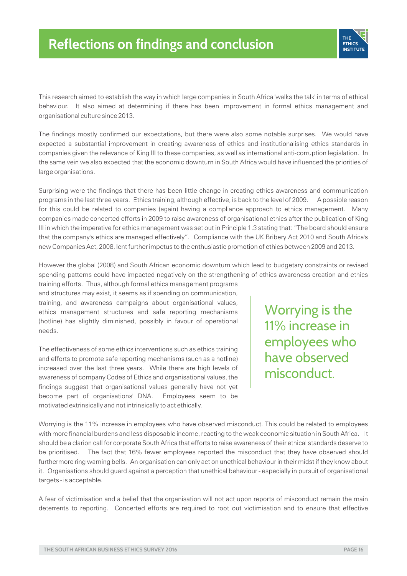

This research aimed to establish the way in which large companies in South Africa 'walks the talk' in terms of ethical behaviour. It also aimed at determining if there has been improvement in formal ethics management and organisational culture since 2013.

The findings mostly confirmed our expectations, but there were also some notable surprises. We would have expected a substantial improvement in creating awareness of ethics and institutionalising ethics standards in companies given the relevance of King III to these companies, as well as international anti-corruption legislation. In the same vein we also expected that the economic downturn in South Africa would have influenced the priorities of large organisations.

Surprising were the findings that there has been little change in creating ethics awareness and communication programs in the last three years. Ethics training, although effective, is back to the level of 2009. A possible reason for this could be related to companies (again) having a compliance approach to ethics management. Many companies made concerted efforts in 2009 to raise awareness of organisational ethics after the publication of King III in which the imperative for ethics management was set out in Principle 1.3 stating that: "The board should ensure that the company's ethics are managed effectively". Compliance with the UK Bribery Act 2010 and South Africa's new Companies Act, 2008, lent further impetus to the enthusiastic promotion of ethics between 2009 and 2013.

However the global (2008) and South African economic downturn which lead to budgetary constraints or revised spending patterns could have impacted negatively on the strengthening of ethics awareness creation and ethics training efforts. Thus, although formal ethics management programs

and structures may exist, it seems as if spending on communication, training, and awareness campaigns about organisational values, ethics management structures and safe reporting mechanisms (hotline) has slightly diminished, possibly in favour of operational needs.

The effectiveness of some ethics interventions such as ethics training and efforts to promote safe reporting mechanisms (such as a hotline) increased over the last three years. While there are high levels of awareness of company Codes of Ethics and organisational values, the findings suggest that organisational values generally have not yet become part of organisations' DNA. Employees seem to be motivated extrinsically and not intrinsically to act ethically.

Worrying is the 11% increase in employees who have observed misconduct.

Worrying is the 11% increase in employees who have observed misconduct. This could be related to employees with more financial burdens and less disposable income, reacting to the weak economic situation in South Africa. It should be a clarion call for corporate South Africa that efforts to raise awareness of their ethical standards deserve to be prioritised. The fact that 16% fewer employees reported the misconduct that they have observed should furthermore ring warning bells. An organisation can only act on unethical behaviour in their midst if they know about it. Organisations should guard against a perception that unethical behaviour - especially in pursuit of organisational targets - is acceptable.

A fear of victimisation and a belief that the organisation will not act upon reports of misconduct remain the main deterrents to reporting. Concerted efforts are required to root out victimisation and to ensure that effective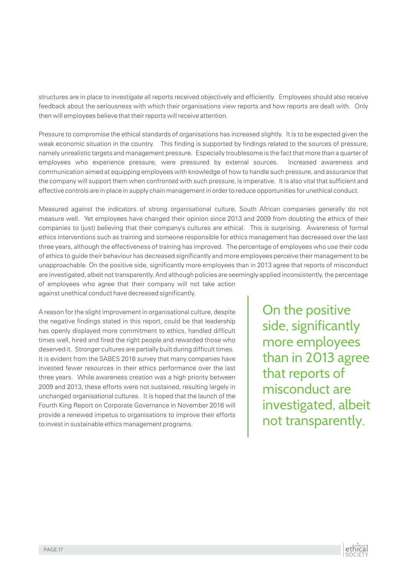structures are in place to investigate all reports received objectively and efficiently. Employees should also receive feedback about the seriousness with which their organisations view reports and how reports are dealt with. Only then will employees believe that their reports will receive attention.

Pressure to compromise the ethical standards of organisations has increased slightly. It is to be expected given the weak economic situation in the country. This finding is supported by findings related to the sources of pressure, namely unrealistic targets and management pressure. Especially troublesome is the fact that more than a quarter of employees who experience pressure, were pressured by external sources. Increased awareness and communication aimed at equipping employees with knowledge of how to handle such pressure, and assurance that the company will support them when confronted with such pressure, is imperative. It is also vital that sufficient and effective controls are in place in supply chain management in order to reduce opportunities for unethical conduct.

Measured against the indicators of strong organisational culture, South African companies generally do not measure well. Yet employees have changed their opinion since 2013 and 2009 from doubting the ethics of their companies to (just) believing that their company's cultures are ethical. This is surprising. Awareness of formal ethics interventions such as training and someone responsible for ethics management has decreased over the last three years, although the effectiveness of training has improved. The percentage of employees who use their code of ethics to guide their behaviour has decreased significantly and more employees perceive their management to be unapproachable. On the positive side, significantly more employees than in 2013 agree that reports of misconduct are investigated, albeit not transparently. And although policies are seemingly applied inconsistently, the percentage of employees who agree that their company will not take action against unethical conduct have decreased significantly.

A reason for the slight improvement in organisational culture, despite the negative findings stated in this report, could be that leadership has openly displayed more commitment to ethics, handled difficult times well, hired and fired the right people and rewarded those who deserved it. Stronger cultures are partially built during difficult times. It is evident from the SABES 2016 survey that many companies have invested fewer resources in their ethics performance over the last three years. While awareness creation was a high priority between 2009 and 2013, these efforts were not sustained, resulting largely in unchanged organisational cultures. It is hoped that the launch of the Fourth King Report on Corporate Governance in November 2016 will provide a renewed impetus to organisations to improve their efforts to invest in sustainable ethics management programs.

On the positive side, significantly more employees than in 2013 agree that reports of misconduct are investigated, albeit not transparently.